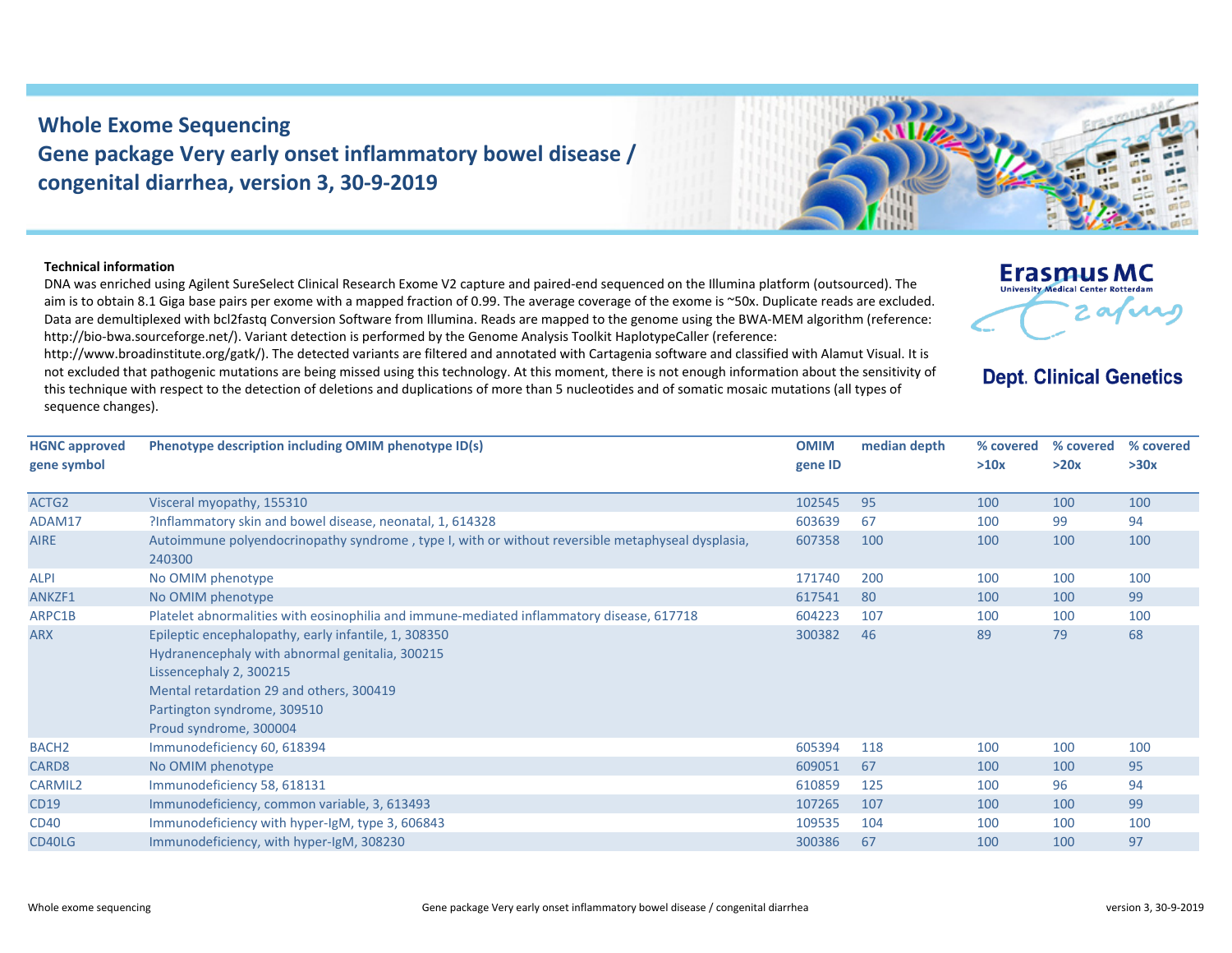## **Whole Exome Sequencing Gene package Very early onset inflammatory bowel disease / congenital diarrhea, version 3, 30‐9‐2019**

## **Technical information**

DNA was enriched using Agilent SureSelect Clinical Research Exome V2 capture and paired‐end sequenced on the Illumina platform (outsourced). The aim is to obtain 8.1 Giga base pairs per exome with a mapped fraction of 0.99. The average coverage of the exome is ~50x. Duplicate reads are excluded. Data are demultiplexed with bcl2fastg Conversion Software from Illumina. Reads are mapped to the genome using the BWA-MEM algorithm (reference: http://bio‐bwa.sourceforge.net/). Variant detection is performed by the Genome Analysis Toolkit HaplotypeCaller (reference:

http://www.broadinstitute.org/gatk/). The detected variants are filtered and annotated with Cartagenia software and classified with Alamut Visual. It is not excluded that pathogenic mutations are being missed using this technology. At this moment, there is not enough information about the sensitivity of this technique with respect to the detection of deletions and duplications of more than 5 nucleotides and of somatic mosaic mutations (all types of sequence changes).

| <b>HGNC approved</b><br>gene symbol | Phenotype description including OMIM phenotype ID(s)                                                        | <b>OMIM</b><br>gene ID | median depth | % covered<br>>10x | % covered<br>>20x | % covered<br>>30x |
|-------------------------------------|-------------------------------------------------------------------------------------------------------------|------------------------|--------------|-------------------|-------------------|-------------------|
| ACTG2                               | Visceral myopathy, 155310                                                                                   | 102545                 | 95           | 100               | 100               | 100               |
| ADAM17                              | ?Inflammatory skin and bowel disease, neonatal, 1, 614328                                                   | 603639                 | -67          | 100               | 99                | 94                |
| <b>AIRE</b>                         | Autoimmune polyendocrinopathy syndrome, type I, with or without reversible metaphyseal dysplasia,<br>240300 | 607358                 | 100          | 100               | 100               | 100               |
| <b>ALPI</b>                         | No OMIM phenotype                                                                                           | 171740                 | 200          | 100               | 100               | 100               |
| ANKZF1                              | No OMIM phenotype                                                                                           | 617541                 | -80          | 100               | 100               | 99                |
| ARPC1B                              | Platelet abnormalities with eosinophilia and immune-mediated inflammatory disease, 617718                   | 604223                 | 107          | 100               | 100               | 100               |
| <b>ARX</b>                          | Epileptic encephalopathy, early infantile, 1, 308350                                                        | 300382                 | 46           | 89                | 79                | 68                |

| ACTG2             | Visceral myopathy, 155310                                                                                                                                                                                                               | 102545 | 95  | 100 | 100 | 100 |
|-------------------|-----------------------------------------------------------------------------------------------------------------------------------------------------------------------------------------------------------------------------------------|--------|-----|-----|-----|-----|
| ADAM17            | ?Inflammatory skin and bowel disease, neonatal, 1, 614328                                                                                                                                                                               | 603639 | 67  | 100 | 99  | 94  |
| <b>AIRE</b>       | Autoimmune polyendocrinopathy syndrome, type I, with or without reversible metaphyseal dysplasia,<br>240300                                                                                                                             | 607358 | 100 | 100 | 100 | 100 |
| ALPI              | No OMIM phenotype                                                                                                                                                                                                                       | 171740 | 200 | 100 | 100 | 100 |
| ANKZF1            | No OMIM phenotype                                                                                                                                                                                                                       | 617541 | 80  | 100 | 100 | 99  |
| ARPC1B            | Platelet abnormalities with eosinophilia and immune-mediated inflammatory disease, 617718                                                                                                                                               | 604223 | 107 | 100 | 100 | 100 |
| ARX               | Epileptic encephalopathy, early infantile, 1, 308350<br>Hydranencephaly with abnormal genitalia, 300215<br>Lissencephaly 2, 300215<br>Mental retardation 29 and others, 300419<br>Partington syndrome, 309510<br>Proud syndrome, 300004 | 300382 | 46  | 89  | 79  | 68  |
| BACH <sub>2</sub> | Immunodeficiency 60, 618394                                                                                                                                                                                                             | 605394 | 118 | 100 | 100 | 100 |
|                   |                                                                                                                                                                                                                                         |        |     |     |     |     |





**Erasmus MC University Medical Center Rotterdan** 

**Dept. Clinical Genetics**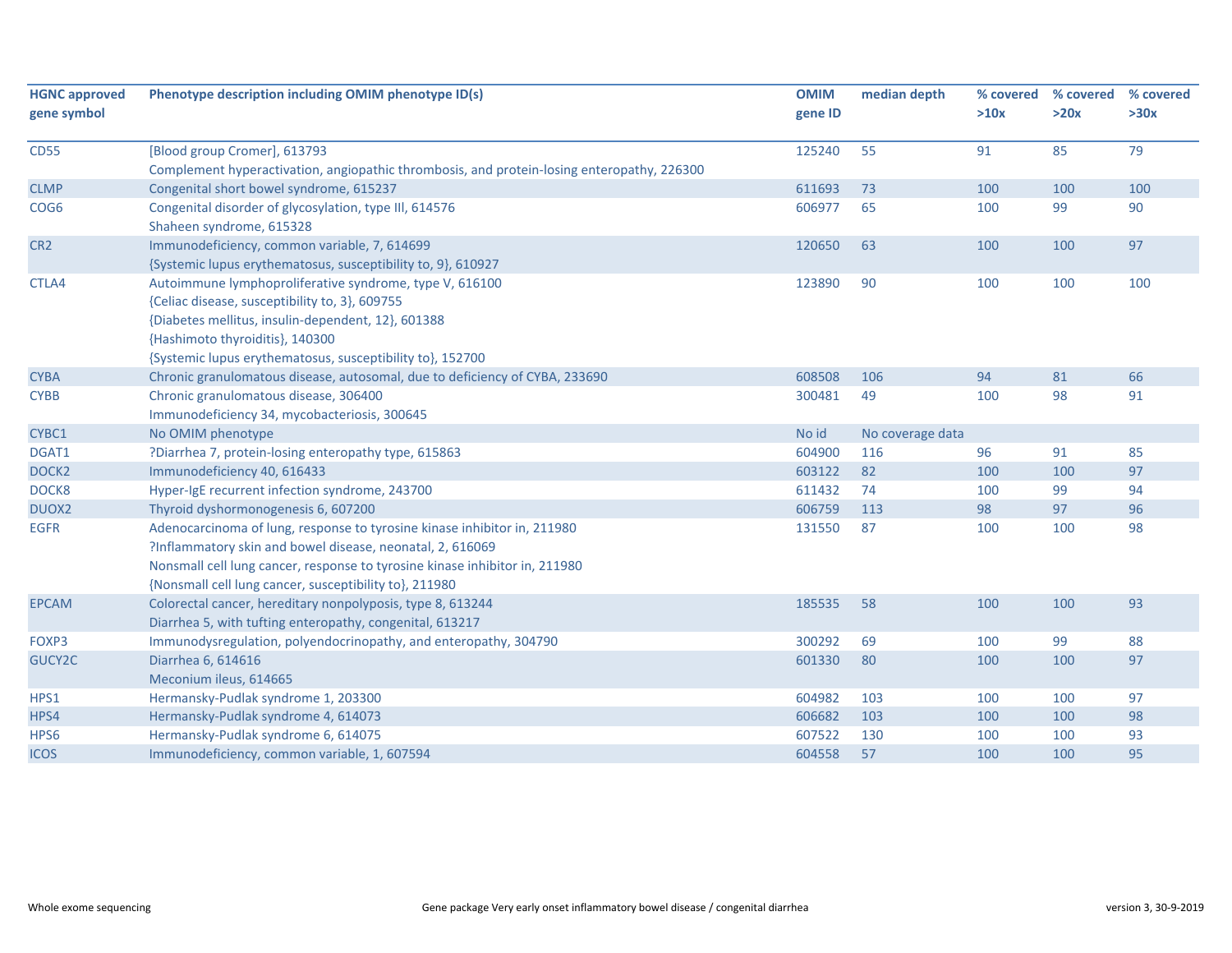| <b>HGNC approved</b> | Phenotype description including OMIM phenotype ID(s)                                       | <b>OMIM</b> | median depth     | % covered | % covered | % covered |
|----------------------|--------------------------------------------------------------------------------------------|-------------|------------------|-----------|-----------|-----------|
| gene symbol          |                                                                                            | gene ID     |                  | >10x      | >20x      | >30x      |
| <b>CD55</b>          | [Blood group Cromer], 613793                                                               | 125240      | 55               | 91        | 85        | 79        |
|                      | Complement hyperactivation, angiopathic thrombosis, and protein-losing enteropathy, 226300 |             |                  |           |           |           |
| <b>CLMP</b>          | Congenital short bowel syndrome, 615237                                                    | 611693      | 73               | 100       | 100       | 100       |
| COG <sub>6</sub>     | Congenital disorder of glycosylation, type III, 614576                                     | 606977      | 65               | 100       | 99        | 90        |
|                      | Shaheen syndrome, 615328                                                                   |             |                  |           |           |           |
| CR <sub>2</sub>      | Immunodeficiency, common variable, 7, 614699                                               | 120650      | 63               | 100       | 100       | 97        |
|                      | {Systemic lupus erythematosus, susceptibility to, 9}, 610927                               |             |                  |           |           |           |
| CTLA4                | Autoimmune lymphoproliferative syndrome, type V, 616100                                    | 123890      | 90               | 100       | 100       | 100       |
|                      | {Celiac disease, susceptibility to, 3}, 609755                                             |             |                  |           |           |           |
|                      | {Diabetes mellitus, insulin-dependent, 12}, 601388                                         |             |                  |           |           |           |
|                      | {Hashimoto thyroiditis}, 140300                                                            |             |                  |           |           |           |
|                      | {Systemic lupus erythematosus, susceptibility to}, 152700                                  |             |                  |           |           |           |
| <b>CYBA</b>          | Chronic granulomatous disease, autosomal, due to deficiency of CYBA, 233690                | 608508      | 106              | 94        | 81        | 66        |
| <b>CYBB</b>          | Chronic granulomatous disease, 306400                                                      | 300481      | 49               | 100       | 98        | 91        |
|                      | Immunodeficiency 34, mycobacteriosis, 300645                                               |             |                  |           |           |           |
| CYBC1                | No OMIM phenotype                                                                          | No id       | No coverage data |           |           |           |
| DGAT1                | ?Diarrhea 7, protein-losing enteropathy type, 615863                                       | 604900      | 116              | 96        | 91        | 85        |
| DOCK <sub>2</sub>    | Immunodeficiency 40, 616433                                                                | 603122      | 82               | 100       | 100       | 97        |
| DOCK8                | Hyper-IgE recurrent infection syndrome, 243700                                             | 611432      | 74               | 100       | 99        | 94        |
| DUOX2                | Thyroid dyshormonogenesis 6, 607200                                                        | 606759      | 113              | 98        | 97        | 96        |
| <b>EGFR</b>          | Adenocarcinoma of lung, response to tyrosine kinase inhibitor in, 211980                   | 131550      | 87               | 100       | 100       | 98        |
|                      | ?Inflammatory skin and bowel disease, neonatal, 2, 616069                                  |             |                  |           |           |           |
|                      | Nonsmall cell lung cancer, response to tyrosine kinase inhibitor in, 211980                |             |                  |           |           |           |
|                      | {Nonsmall cell lung cancer, susceptibility to}, 211980                                     |             |                  |           |           |           |
| <b>EPCAM</b>         | Colorectal cancer, hereditary nonpolyposis, type 8, 613244                                 | 185535      | 58               | 100       | 100       | 93        |
|                      | Diarrhea 5, with tufting enteropathy, congenital, 613217                                   |             |                  |           |           |           |
| FOXP3                | Immunodysregulation, polyendocrinopathy, and enteropathy, 304790                           | 300292      | 69               | 100       | 99        | 88        |
| GUCY2C               | Diarrhea 6, 614616                                                                         | 601330      | 80               | 100       | 100       | 97        |
|                      | Meconium ileus, 614665                                                                     |             |                  |           |           |           |
| HPS1                 | Hermansky-Pudlak syndrome 1, 203300                                                        | 604982      | 103              | 100       | 100       | 97        |
| HPS4                 | Hermansky-Pudlak syndrome 4, 614073                                                        | 606682      | 103              | 100       | 100       | 98        |
| HPS6                 | Hermansky-Pudlak syndrome 6, 614075                                                        | 607522      | 130              | 100       | 100       | 93        |
| <b>ICOS</b>          | Immunodeficiency, common variable, 1, 607594                                               | 604558      | 57               | 100       | 100       | 95        |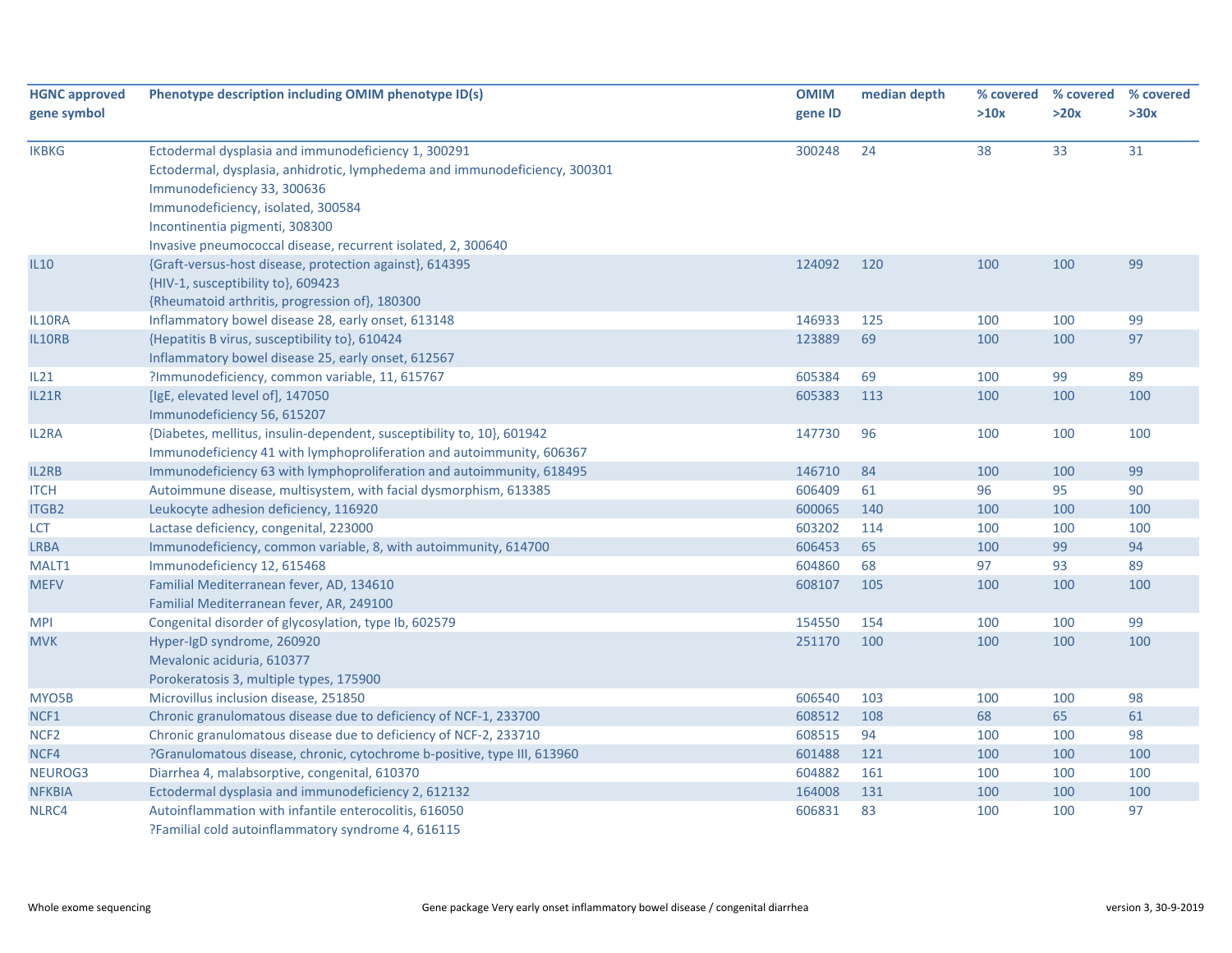| <b>HGNC approved</b><br>gene symbol | Phenotype description including OMIM phenotype ID(s)                                                                                                                                                                                                                                                     | <b>OMIM</b><br>gene ID | median depth | % covered<br>>10x | % covered<br>>20x | % covered<br>>30x |
|-------------------------------------|----------------------------------------------------------------------------------------------------------------------------------------------------------------------------------------------------------------------------------------------------------------------------------------------------------|------------------------|--------------|-------------------|-------------------|-------------------|
| <b>IKBKG</b>                        | Ectodermal dysplasia and immunodeficiency 1, 300291<br>Ectodermal, dysplasia, anhidrotic, lymphedema and immunodeficiency, 300301<br>Immunodeficiency 33, 300636<br>Immunodeficiency, isolated, 300584<br>Incontinentia pigmenti, 308300<br>Invasive pneumococcal disease, recurrent isolated, 2, 300640 | 300248                 | 24           | 38                | 33                | 31                |
| <b>IL10</b>                         | {Graft-versus-host disease, protection against}, 614395<br>{HIV-1, susceptibility to}, 609423<br>{Rheumatoid arthritis, progression of}, 180300                                                                                                                                                          | 124092                 | 120          | 100               | 100               | 99                |
| IL10RA                              | Inflammatory bowel disease 28, early onset, 613148                                                                                                                                                                                                                                                       | 146933                 | 125          | 100               | 100               | 99                |
| IL10RB                              | {Hepatitis B virus, susceptibility to}, 610424<br>Inflammatory bowel disease 25, early onset, 612567                                                                                                                                                                                                     | 123889                 | 69           | 100               | 100               | 97                |
| IL21                                | ?Immunodeficiency, common variable, 11, 615767                                                                                                                                                                                                                                                           | 605384                 | 69           | 100               | 99                | 89                |
| IL21R                               | [IgE, elevated level of], 147050<br>Immunodeficiency 56, 615207                                                                                                                                                                                                                                          | 605383                 | 113          | 100               | 100               | 100               |
| IL2RA                               | {Diabetes, mellitus, insulin-dependent, susceptibility to, 10}, 601942<br>Immunodeficiency 41 with lymphoproliferation and autoimmunity, 606367                                                                                                                                                          | 147730                 | 96           | 100               | 100               | 100               |
| IL2RB                               | Immunodeficiency 63 with lymphoproliferation and autoimmunity, 618495                                                                                                                                                                                                                                    | 146710                 | 84           | 100               | 100               | 99                |
| <b>ITCH</b>                         | Autoimmune disease, multisystem, with facial dysmorphism, 613385                                                                                                                                                                                                                                         | 606409                 | 61           | 96                | 95                | 90                |
| <b>ITGB2</b>                        | Leukocyte adhesion deficiency, 116920                                                                                                                                                                                                                                                                    | 600065                 | 140          | 100               | 100               | 100               |
| <b>LCT</b>                          | Lactase deficiency, congenital, 223000                                                                                                                                                                                                                                                                   | 603202                 | 114          | 100               | 100               | 100               |
| <b>LRBA</b>                         | Immunodeficiency, common variable, 8, with autoimmunity, 614700                                                                                                                                                                                                                                          | 606453                 | 65           | 100               | 99                | 94                |
| MALT1                               | Immunodeficiency 12, 615468                                                                                                                                                                                                                                                                              | 604860                 | 68           | 97                | 93                | 89                |
| <b>MEFV</b>                         | Familial Mediterranean fever, AD, 134610<br>Familial Mediterranean fever, AR, 249100                                                                                                                                                                                                                     | 608107                 | 105          | 100               | 100               | 100               |
| <b>MPI</b>                          | Congenital disorder of glycosylation, type Ib, 602579                                                                                                                                                                                                                                                    | 154550                 | 154          | 100               | 100               | 99                |
| <b>MVK</b>                          | Hyper-IgD syndrome, 260920<br>Mevalonic aciduria, 610377<br>Porokeratosis 3, multiple types, 175900                                                                                                                                                                                                      | 251170                 | 100          | 100               | 100               | 100               |
| MYO <sub>5</sub> B                  | Microvillus inclusion disease, 251850                                                                                                                                                                                                                                                                    | 606540                 | 103          | 100               | 100               | 98                |
| NCF1                                | Chronic granulomatous disease due to deficiency of NCF-1, 233700                                                                                                                                                                                                                                         | 608512                 | 108          | 68                | 65                | 61                |
| NCF <sub>2</sub>                    | Chronic granulomatous disease due to deficiency of NCF-2, 233710                                                                                                                                                                                                                                         | 608515                 | 94           | 100               | 100               | 98                |
| NCF4                                | ?Granulomatous disease, chronic, cytochrome b-positive, type III, 613960                                                                                                                                                                                                                                 | 601488                 | 121          | 100               | 100               | 100               |
| NEUROG3                             | Diarrhea 4, malabsorptive, congenital, 610370                                                                                                                                                                                                                                                            | 604882                 | 161          | 100               | 100               | 100               |
| <b>NFKBIA</b>                       | Ectodermal dysplasia and immunodeficiency 2, 612132                                                                                                                                                                                                                                                      | 164008                 | 131          | 100               | 100               | 100               |
| NLRC4                               | Autoinflammation with infantile enterocolitis, 616050<br>?Familial cold autoinflammatory syndrome 4, 616115                                                                                                                                                                                              | 606831                 | 83           | 100               | 100               | 97                |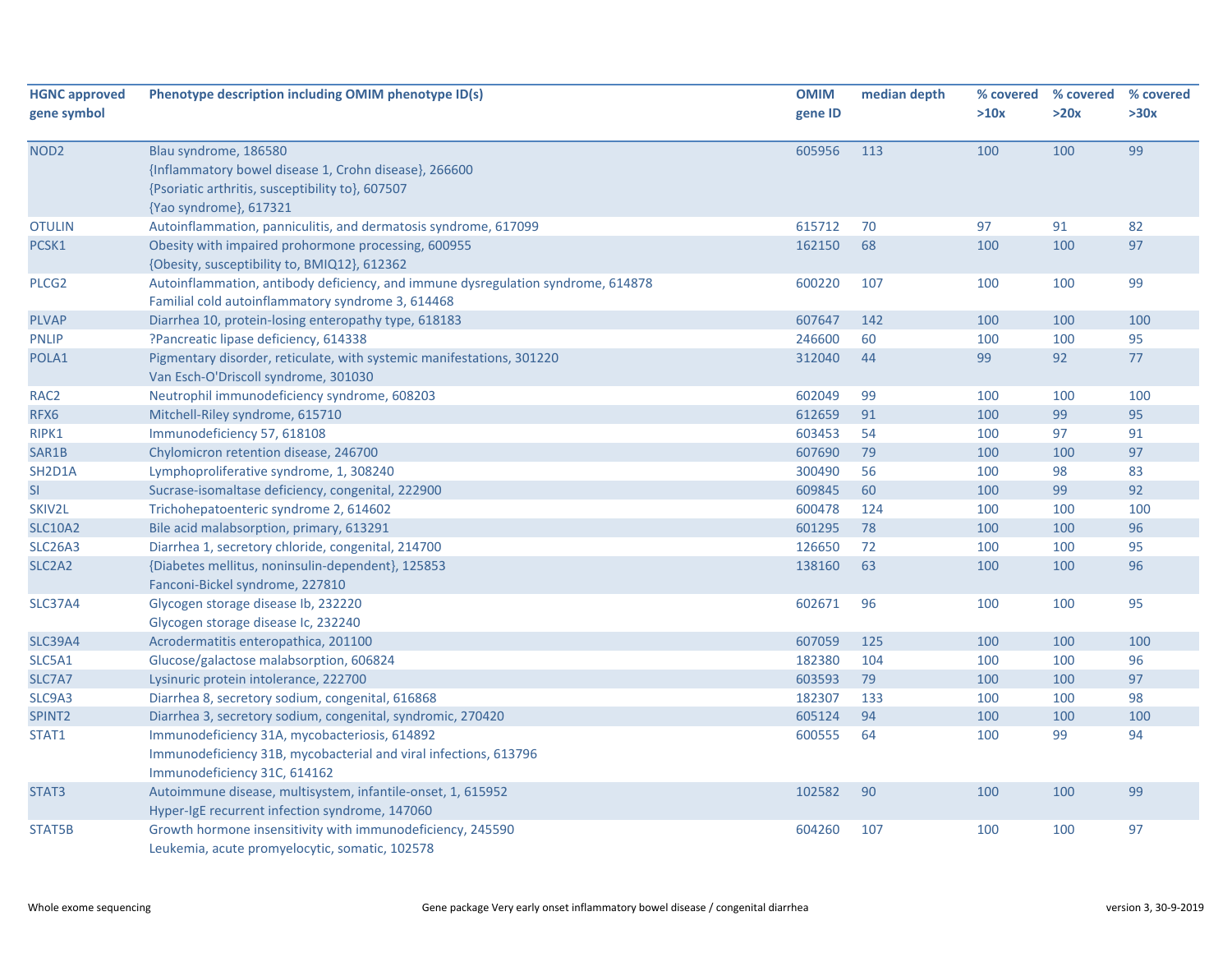| <b>HGNC approved</b>            | Phenotype description including OMIM phenotype ID(s)                             | <b>OMIM</b> | median depth |      | % covered % covered | % covered |
|---------------------------------|----------------------------------------------------------------------------------|-------------|--------------|------|---------------------|-----------|
| gene symbol                     |                                                                                  | gene ID     |              | >10x | >20x                | >30x      |
|                                 |                                                                                  |             |              |      |                     |           |
| NOD <sub>2</sub>                | Blau syndrome, 186580                                                            | 605956      | 113          | 100  | 100                 | 99        |
|                                 | {Inflammatory bowel disease 1, Crohn disease}, 266600                            |             |              |      |                     |           |
|                                 | {Psoriatic arthritis, susceptibility to}, 607507                                 |             |              |      |                     |           |
|                                 | {Yao syndrome}, 617321                                                           |             |              |      |                     |           |
| <b>OTULIN</b>                   | Autoinflammation, panniculitis, and dermatosis syndrome, 617099                  | 615712      | 70           | 97   | 91                  | 82        |
| PCSK1                           | Obesity with impaired prohormone processing, 600955                              | 162150      | 68           | 100  | 100                 | 97        |
|                                 | {Obesity, susceptibility to, BMIQ12}, 612362                                     |             |              |      |                     |           |
| PLCG <sub>2</sub>               | Autoinflammation, antibody deficiency, and immune dysregulation syndrome, 614878 | 600220      | 107          | 100  | 100                 | 99        |
|                                 | Familial cold autoinflammatory syndrome 3, 614468                                |             |              |      |                     |           |
| <b>PLVAP</b>                    | Diarrhea 10, protein-losing enteropathy type, 618183                             | 607647      | 142          | 100  | 100                 | 100       |
| <b>PNLIP</b>                    | ?Pancreatic lipase deficiency, 614338                                            | 246600      | 60           | 100  | 100                 | 95        |
| POLA1                           | Pigmentary disorder, reticulate, with systemic manifestations, 301220            | 312040      | 44           | 99   | 92                  | 77        |
|                                 | Van Esch-O'Driscoll syndrome, 301030                                             |             |              |      |                     |           |
| RAC <sub>2</sub>                | Neutrophil immunodeficiency syndrome, 608203                                     | 602049      | 99           | 100  | 100                 | 100       |
| RFX6                            | Mitchell-Riley syndrome, 615710                                                  | 612659      | 91           | 100  | 99                  | 95        |
| RIPK1                           | Immunodeficiency 57, 618108                                                      | 603453      | 54           | 100  | 97                  | 91        |
| SAR1B                           | Chylomicron retention disease, 246700                                            | 607690      | 79           | 100  | 100                 | 97        |
| SH2D1A                          | Lymphoproliferative syndrome, 1, 308240                                          | 300490      | 56           | 100  | 98                  | 83        |
| SI                              | Sucrase-isomaltase deficiency, congenital, 222900                                | 609845      | 60           | 100  | 99                  | 92        |
| SKIV2L                          | Trichohepatoenteric syndrome 2, 614602                                           | 600478      | 124          | 100  | 100                 | 100       |
| <b>SLC10A2</b>                  | Bile acid malabsorption, primary, 613291                                         | 601295      | 78           | 100  | 100                 | 96        |
| <b>SLC26A3</b>                  | Diarrhea 1, secretory chloride, congenital, 214700                               | 126650      | 72           | 100  | 100                 | 95        |
| SLC <sub>2</sub> A <sub>2</sub> | {Diabetes mellitus, noninsulin-dependent}, 125853                                | 138160      | 63           | 100  | 100                 | 96        |
|                                 | Fanconi-Bickel syndrome, 227810                                                  |             |              |      |                     |           |
| <b>SLC37A4</b>                  | Glycogen storage disease Ib, 232220                                              | 602671      | 96           | 100  | 100                 | 95        |
|                                 | Glycogen storage disease Ic, 232240                                              |             |              |      |                     |           |
| <b>SLC39A4</b>                  | Acrodermatitis enteropathica, 201100                                             | 607059      | 125          | 100  | 100                 | 100       |
| SLC5A1                          | Glucose/galactose malabsorption, 606824                                          | 182380      | 104          | 100  | 100                 | 96        |
| SLC7A7                          | Lysinuric protein intolerance, 222700                                            | 603593      | 79           | 100  | 100                 | 97        |
| SLC9A3                          | Diarrhea 8, secretory sodium, congenital, 616868                                 | 182307      | 133          | 100  | 100                 | 98        |
| SPINT2                          | Diarrhea 3, secretory sodium, congenital, syndromic, 270420                      | 605124      | 94           | 100  | 100                 | 100       |
| STAT1                           | Immunodeficiency 31A, mycobacteriosis, 614892                                    | 600555      | 64           | 100  | 99                  | 94        |
|                                 | Immunodeficiency 31B, mycobacterial and viral infections, 613796                 |             |              |      |                     |           |
|                                 | Immunodeficiency 31C, 614162                                                     |             |              |      |                     |           |
| STAT3                           | Autoimmune disease, multisystem, infantile-onset, 1, 615952                      | 102582      | 90           | 100  | 100                 | 99        |
|                                 | Hyper-IgE recurrent infection syndrome, 147060                                   |             |              |      |                     |           |
| STAT5B                          | Growth hormone insensitivity with immunodeficiency, 245590                       | 604260      | 107          | 100  | 100                 | 97        |
|                                 | Leukemia, acute promyelocytic, somatic, 102578                                   |             |              |      |                     |           |